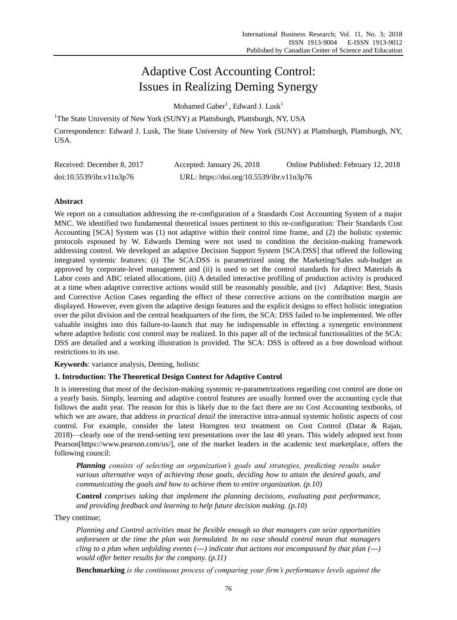# Adaptive Cost Accounting Control: Issues in Realizing Deming Synergy

Mohamed Gaber<sup>1</sup>, Edward J. Lusk<sup>1</sup>

<sup>1</sup>The State University of New York (SUNY) at Plattsburgh, Plattsburgh, NY, USA

Correspondence: Edward J. Lusk, The State University of New York (SUNY) at Plattsburgh, Plattsburgh, NY, USA.

| Received: December 8, 2017 | Accepted: January 26, 2018                | Online Published: February 12, 2018 |
|----------------------------|-------------------------------------------|-------------------------------------|
| doi:10.5539/ibr.v11n3p76   | URL: https://doi.org/10.5539/ibr.v11n3p76 |                                     |

# **Abstract**

We report on a consultation addressing the re-configuration of a Standards Cost Accounting System of a major MNC. We identified two fundamental theoretical issues pertinent to this re-configuration: Their Standards Cost Accounting [SCA] System was (1) not adaptive within their control time frame, and (2) the holistic systemic protocols espoused by W. Edwards Deming were not used to condition the decision-making framework addressing control. We developed an adaptive Decision Support System [SCA:DSS] that offered the following integrated systemic features: (i) The SCA:DSS is parametrized using the Marketing/Sales sub-budget as approved by corporate-level management and (ii) is used to set the control standards for direct Materials  $\&$ Labor costs and ABC related allocations, (iii) A detailed interactive profiling of production activity is produced at a time when adaptive corrective actions would still be reasonably possible, and (iv) Adaptive: Best, Stasis and Corrective Action Cases regarding the effect of these corrective actions on the contribution margin are displayed. However, even given the adaptive design features and the explicit designs to effect holistic integration over the pilot division and the central headquarters of the firm, the SCA: DSS failed to be implemented. We offer valuable insights into this failure-to-launch that may be indispensable in effecting a synergetic environment where adaptive holistic cost control may be realized. In this paper all of the technical functionalities of the SCA: DSS are detailed and a working illustration is provided. The SCA: DSS is offered as a free download without restrictions to its use.

**Keywords**: variance analysis, Deming, holistic

# **1. Introduction: The Theoretical Design Context for Adaptive Control**

It is interesting that most of the decision-making systemic re-parametrizations regarding cost control are done on a yearly basis. Simply, learning and adaptive control features are usually formed over the accounting cycle that follows the audit year. The reason for this is likely due to the fact there are no Cost Accounting textbooks, of which we are aware, that address *in practical detail* the interactive intra-annual systemic holistic aspects of cost control. For example, consider the latest Horngren text treatment on Cost Control (Datar & Rajan, 2018)—clearly one of the trend-setting text presentations over the last 40 years. This widely adopted text from Pearson[https://www.pearson.com/us/], one of the market leaders in the academic text marketplace, offers the following council:

*Planning consists of selecting an organization"s goals and strategies, predicting results under various alternative ways of achieving those goals, deciding how to attain the desired goals, and communicating the goals and how to achieve them to entire organization. (p.10)*

**Control** *comprises taking that implement the planning decisions, evaluating past performance, and providing feedback and learning to help future decision making. (p.10)* 

They continue;

*Planning and Control activities must be flexible enough so that managers can seize opportunities unforeseen at the time the plan was formulated. In no case should control mean that managers cling to a plan when unfolding events (---) indicate that actions not encompassed by that plan (---) would offer better results for the company. (p.11)*

**Benchmarking** *is the continuous process of comparing your firm"s performance levels against the*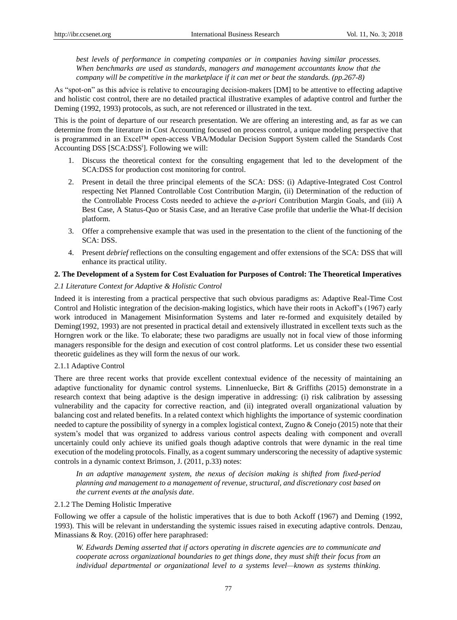*best levels of performance in competing companies or in companies having similar processes. When benchmarks are used as standards, managers and management accountants know that the company will be competitive in the marketplace if it can met or beat the standards. (pp.267-8)*

As "spot-on" as this advice is relative to encouraging decision-makers [DM] to be attentive to effecting adaptive and holistic cost control, there are no detailed practical illustrative examples of adaptive control and further the Deming (1992, 1993) protocols, as such, are not referenced or illustrated in the text.

This is the point of departure of our research presentation. We are offering an interesting and, as far as we can determine from the literature in Cost Accounting focused on process control, a unique modeling perspective that is programmed in an Excel™ open-access VBA/Modular Decision Support System called the Standards Cost Accounting DSS [SCA:DSS<sup>i</sup>]. Following we will:

- 1. Discuss the theoretical context for the consulting engagement that led to the development of the SCA:DSS for production cost monitoring for control.
- 2. Present in detail the three principal elements of the SCA: DSS: (i) Adaptive-Integrated Cost Control respecting Net Planned Controllable Cost Contribution Margin, (ii) Determination of the reduction of the Controllable Process Costs needed to achieve the *a-priori* Contribution Margin Goals, and (iii) A Best Case, A Status-Quo or Stasis Case, and an Iterative Case profile that underlie the What-If decision platform.
- 3. Offer a comprehensive example that was used in the presentation to the client of the functioning of the SCA: DSS.
- 4. Present *debrief* reflections on the consulting engagement and offer extensions of the SCA: DSS that will enhance its practical utility.

## **2. The Development of a System for Cost Evaluation for Purposes of Control: The Theoretical Imperatives**

#### *2.1 Literature Context for Adaptive & Holistic Control*

Indeed it is interesting from a practical perspective that such obvious paradigms as: Adaptive Real-Time Cost Control and Holistic integration of the decision-making logistics, which have their roots in Ackoff's (1967) early work introduced in Management Misinformation Systems and later re-formed and exquisitely detailed by Deming(1992, 1993) are not presented in practical detail and extensively illustrated in excellent texts such as the Horngren work or the like. To elaborate; these two paradigms are usually not in focal view of those informing managers responsible for the design and execution of cost control platforms. Let us consider these two essential theoretic guidelines as they will form the nexus of our work.

#### 2.1.1 Adaptive Control

There are three recent works that provide excellent contextual evidence of the necessity of maintaining an adaptive functionality for dynamic control systems. [Linnenluecke, B](https://proxy.library.upenn.edu:2072/abiglobal/indexinglinkhandler/sng/au/Linnenluecke,+Martina+K/$N?accountid=14707)irt & [Griffiths](https://proxy.library.upenn.edu:2072/abiglobal/indexinglinkhandler/sng/au/Griffiths,+Andrew/$N?accountid=14707) (2015) demonstrate in a research context that being adaptive is the design imperative in addressing: (i) risk calibration by assessing vulnerability and the capacity for corrective reaction, and (ii) integrated overall organizational valuation by balancing cost and related benefits. In a related context which highlights the importance of systemic coordination needed to capture the possibility of synergy in a complex logistical context, Zugno & Conejo (2015) note that their system's model that was organized to address various control aspects dealing with component and overall uncertainly could only achieve its unified goals though adaptive controls that were dynamic in the real time execution of the modeling protocols. Finally, as a cogent summary underscoring the necessity of adaptive systemic controls in a dynamic context Brimson, J. (2011, p.33) notes:

*In an adaptive management system, the nexus of decision making is shifted from fixed-period planning and management to a management of revenue, structural, and discretionary cost based on the current events at the analysis date*.

#### 2.1.2 The Deming Holistic Imperative

Following we offer a capsule of the holistic imperatives that is due to both Ackoff (1967) and Deming (1992, 1993). This will be relevant in understanding the systemic issues raised in executing adaptive controls. Denzau, Minassians & Roy. (2016) offer here paraphrased:

*W. Edwards Deming asserted that if actors operating in discrete agencies are to communicate and cooperate across organizational boundaries to get things done, they must shift their focus from an individual departmental or organizational level to a systems level—known as systems thinking.*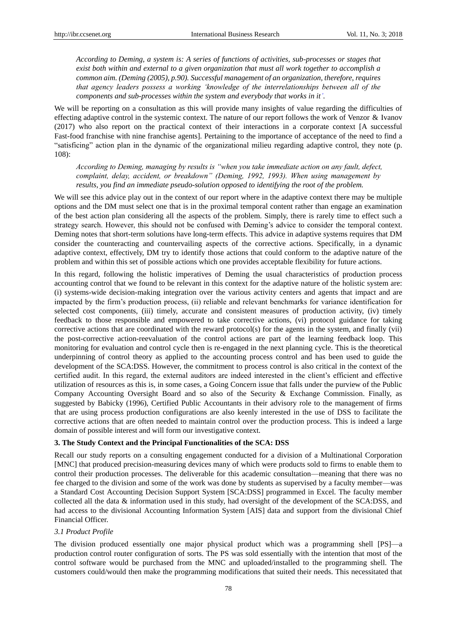*According to Deming, a system is: A series of functions of activities, sub-processes or stages that exist both within and external to a given organization that must all work together to accomplish a common aim. (Deming (2005), p.90). Successful management of an organization, therefore, requires that agency leaders possess a working "knowledge of the interrelationships between all of the components and sub-processes within the system and everybody that works in it".*

We will be reporting on a consultation as this will provide many insights of value regarding the difficulties of effecting adaptive control in the systemic context. The nature of our report follows the work of Venzor & Ivanov (2017) who also report on the practical context of their interactions in a corporate context [A successful Fast-food franchise with nine franchise agents]. Pertaining to the importance of acceptance of the need to find a ―satisficing‖ action plan in the dynamic of the organizational milieu regarding adaptive control, they note (p. 108):

*According to Deming, managing by results is "when you take immediate action on any fault, defect, complaint, delay, accident, or breakdown" (Deming, 1992, 1993). When using management by results, you find an immediate pseudo-solution opposed to identifying the root of the problem.*

We will see this advice play out in the context of our report where in the adaptive context there may be multiple options and the DM must select one that is in the proximal temporal content rather than engage an examination of the best action plan considering all the aspects of the problem. Simply, there is rarely time to effect such a strategy search. However, this should not be confused with Deming's advice to consider the temporal context. Deming notes that short-term solutions have long-term effects. This advice in adaptive systems requires that DM consider the counteracting and countervailing aspects of the corrective actions. Specifically, in a dynamic adaptive context, effectively, DM try to identify those actions that could conform to the adaptive nature of the problem and within this set of possible actions which one provides acceptable flexibility for future actions.

In this regard, following the holistic imperatives of Deming the usual characteristics of production process accounting control that we found to be relevant in this context for the adaptive nature of the holistic system are: (i) systems-wide decision-making integration over the various activity centers and agents that impact and are impacted by the firm's production process, (ii) reliable and relevant benchmarks for variance identification for selected cost components, (iii) timely, accurate and consistent measures of production activity, (iv) timely feedback to those responsible and empowered to take corrective actions, (vi) protocol guidance for taking corrective actions that are coordinated with the reward protocol(s) for the agents in the system, and finally (vii) the post-corrective action-reevaluation of the control actions are part of the learning feedback loop. This monitoring for evaluation and control cycle then is re-engaged in the next planning cycle. This is the theoretical underpinning of control theory as applied to the accounting process control and has been used to guide the development of the SCA:DSS. However, the commitment to process control is also critical in the context of the certified audit. In this regard, the external auditors are indeed interested in the client's efficient and effective utilization of resources as this is, in some cases, a Going Concern issue that falls under the purview of the Public Company Accounting Oversight Board and so also of the Security & Exchange Commission. Finally, as suggested by Babicky (1996), Certified Public Accountants in their advisory role to the management of firms that are using process production configurations are also keenly interested in the use of DSS to facilitate the corrective actions that are often needed to maintain control over the production process. This is indeed a large domain of possible interest and will form our investigative context.

#### **3. The Study Context and the Principal Functionalities of the SCA: DSS**

Recall our study reports on a consulting engagement conducted for a division of a Multinational Corporation [MNC] that produced precision-measuring devices many of which were products sold to firms to enable them to control their production processes. The deliverable for this academic consultation—meaning that there was no fee charged to the division and some of the work was done by students as supervised by a faculty member—was a Standard Cost Accounting Decision Support System [SCA:DSS] programmed in Excel. The faculty member collected all the data & information used in this study, had oversight of the development of the SCA:DSS, and had access to the divisional Accounting Information System [AIS] data and support from the divisional Chief Financial Officer.

#### *3.1 Product Profile*

The division produced essentially one major physical product which was a programming shell [PS]—a production control router configuration of sorts. The PS was sold essentially with the intention that most of the control software would be purchased from the MNC and uploaded/installed to the programming shell. The customers could/would then make the programming modifications that suited their needs. This necessitated that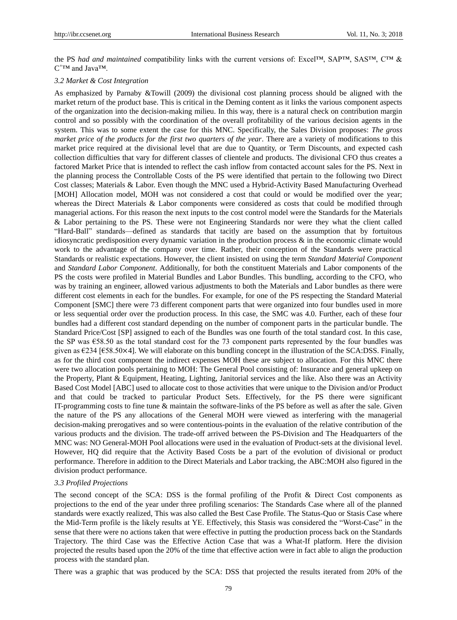the PS *had and maintained* compatibility links with the current versions of: Excel™, SAP™, SAS™, C™ &  $C^{\dagger TM}$  and Java<sup>TM</sup>.

#### *3.2 Market & Cost Integration*

As emphasized by Parnaby &Towill (2009) the divisional cost planning process should be aligned with the market return of the product base. This is critical in the Deming content as it links the various component aspects of the organization into the decision-making milieu. In this way, there is a natural check on contribution margin control and so possibly with the coordination of the overall profitability of the various decision agents in the system. This was to some extent the case for this MNC. Specifically, the Sales Division proposes: *The gross market price of the products for the first two quarters of the year*. There are a variety of modifications to this market price required at the divisional level that are due to Quantity, or Term Discounts, and expected cash collection difficulties that vary for different classes of clientele and products. The divisional CFO thus creates a factored Market Price that is intended to reflect the cash inflow from contacted account sales for the PS. Next in the planning process the Controllable Costs of the PS were identified that pertain to the following two Direct Cost classes; Materials & Labor. Even though the MNC used a Hybrid-Activity Based Manufacturing Overhead [MOH] Allocation model, MOH was not considered a cost that could or would be modified over the year; whereas the Direct Materials & Labor components were considered as costs that could be modified through managerial actions. For this reason the next inputs to the cost control model were the Standards for the Materials & Labor pertaining to the PS. These were not Engineering Standards nor were they what the client called ―Hard-Ball‖ standards—defined as standards that tacitly are based on the assumption that by fortuitous idiosyncratic predisposition every dynamic variation in the production process  $\&$  in the economic climate would work to the advantage of the company over time. Rather, their conception of the Standards were practical Standards or realistic expectations. However, the client insisted on using the term *Standard Material Component* and *Standard Labor Component*. Additionally, for both the constituent Materials and Labor components of the PS the costs were profiled in Material Bundles and Labor Bundles. This bundling, according to the CFO, who was by training an engineer, allowed various adjustments to both the Materials and Labor bundles as there were different cost elements in each for the bundles. For example, for one of the PS respecting the Standard Material Component [SMC] there were 73 different component parts that were organized into four bundles used in more or less sequential order over the production process. In this case, the SMC was 4.0. Further, each of these four bundles had a different cost standard depending on the number of component parts in the particular bundle. The Standard Price/Cost [SP] assigned to each of the Bundles was one fourth of the total standard cost. In this case, the SP was €58.50 as the total standard cost for the 73 component parts represented by the four bundles was given as  $\epsilon$ 234 [ $\epsilon$ 58.50×4]. We will elaborate on this bundling concept in the illustration of the SCA:DSS. Finally, as for the third cost component the indirect expenses MOH these are subject to allocation. For this MNC there were two allocation pools pertaining to MOH: The General Pool consisting of: Insurance and general upkeep on the Property, Plant & Equipment, Heating, Lighting, Janitorial services and the like. Also there was an Activity Based Cost Model [ABC] used to allocate cost to those activities that were unique to the Division and/or Product and that could be tracked to particular Product Sets. Effectively, for the PS there were significant IT-programming costs to fine tune & maintain the software-links of the PS before as well as after the sale. Given the nature of the PS any allocations of the General MOH were viewed as interfering with the managerial decision-making prerogatives and so were contentious-points in the evaluation of the relative contribution of the various products and the division. The trade-off arrived between the PS-Division and The Headquarters of the MNC was: NO General-MOH Pool allocations were used in the evaluation of Product-sets at the divisional level. However, HQ did require that the Activity Based Costs be a part of the evolution of divisional or product performance. Therefore in addition to the Direct Materials and Labor tracking, the ABC:MOH also figured in the division product performance.

#### *3.3 Profiled Projections*

The second concept of the SCA: DSS is the formal profiling of the Profit & Direct Cost components as projections to the end of the year under three profiling scenarios: The Standards Case where all of the planned standards were exactly realized, This was also called the Best Case Profile. The Status-Quo or Stasis Case where the Mid-Term profile is the likely results at YE. Effectively, this Stasis was considered the "Worst-Case" in the sense that there were no actions taken that were effective in putting the production process back on the Standards Trajectory. The third Case was the Effective Action Case that was a What-If platform. Here the division projected the results based upon the 20% of the time that effective action were in fact able to align the production process with the standard plan.

There was a graphic that was produced by the SCA: DSS that projected the results iterated from 20% of the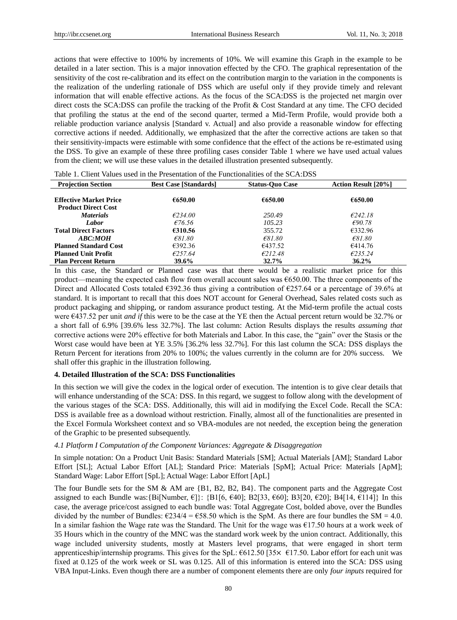actions that were effective to 100% by increments of 10%. We will examine this Graph in the example to be detailed in a later section. This is a major innovation effected by the CFO. The graphical representation of the sensitivity of the cost re-calibration and its effect on the contribution margin to the variation in the components is the realization of the underling rationale of DSS which are useful only if they provide timely and relevant information that will enable effective actions. As the focus of the SCA:DSS is the projected net margin over direct costs the SCA:DSS can profile the tracking of the Profit & Cost Standard at any time. The CFO decided that profiling the status at the end of the second quarter, termed a Mid-Term Profile, would provide both a reliable production variance analysis [Standard v. Actual] and also provide a reasonable window for effecting corrective actions if needed. Additionally, we emphasized that the after the corrective actions are taken so that their sensitivity-impacts were estimable with some confidence that the effect of the actions be re-estimated using the DSS. To give an example of these three profiling cases consider Table 1 where we have used actual values from the client; we will use these values in the detailed illustration presented subsequently.

Table 1. Client Values used in the Presentation of the Functionalities of the SCA:DSS

| Tucle II Chent Tulue, week in the Flegentation of the Fanetionalities of the BCI HPBB |                              |                        |                            |  |
|---------------------------------------------------------------------------------------|------------------------------|------------------------|----------------------------|--|
| <b>Projection Section</b>                                                             | <b>Best Case [Standards]</b> | <b>Status-Ouo Case</b> | <b>Action Result [20%]</b> |  |
|                                                                                       |                              |                        |                            |  |
| <b>Effective Market Price</b>                                                         | €650.00                      | €650.00                | €650.00                    |  |
| <b>Product Direct Cost</b>                                                            |                              |                        |                            |  |
| <i>Materials</i>                                                                      | $\epsilon$ 234.00            | 250.49                 | E242.18                    |  |
| Labor                                                                                 | £76.56                       | 105.23                 | E90.78                     |  |
| <b>Total Direct Factors</b>                                                           | €310.56                      | 355.72                 | €332.96                    |  |
| <i><b>ABC:MOH</b></i>                                                                 | E81.80                       | E81.80                 | E81.80                     |  |
| <b>Planned Standard Cost</b>                                                          | €392.36                      | €437.52                | €414.76                    |  |
| <b>Planned Unit Profit</b>                                                            | £257.64                      | E212.48                | £235.24                    |  |
| <b>Plan Percent Return</b>                                                            | 39.6%                        | 32.7%                  | $36.2\%$                   |  |

In this case, the Standard or Planned case was that there would be a realistic market price for this product—meaning the expected cash flow from overall account sales was  $€650.00$ . The three components of the Direct and Allocated Costs totaled  $\epsilon$ 392.36 thus giving a contribution of  $\epsilon$ 257.64 or a percentage of 39.6% at standard. It is important to recall that this does NOT account for General Overhead, Sales related costs such as product packaging and shipping, or random assurance product testing. At the Mid-term profile the actual costs were €437.52 per unit *and if* this were to be the case at the YE then the Actual percent return would be 32.7% or a short fall of 6.9% [39.6% less 32.7%]. The last column: Action Results displays the results *assuming that* corrective actions were 20% effective for both Materials and Labor. In this case, the "gain" over the Stasis or the Worst case would have been at YE 3.5% [36.2% less 32.7%]. For this last column the SCA: DSS displays the Return Percent for iterations from 20% to 100%; the values currently in the column are for 20% success. We shall offer this graphic in the illustration following.

## **4. Detailed Illustration of the SCA: DSS Functionalities**

In this section we will give the codex in the logical order of execution. The intention is to give clear details that will enhance understanding of the SCA: DSS. In this regard, we suggest to follow along with the development of the various stages of the SCA: DSS. Additionally, this will aid in modifying the Excel Code. Recall the SCA: DSS is available free as a download without restriction. Finally, almost all of the functionalities are presented in the Excel Formula Worksheet context and so VBA-modules are not needed, the exception being the generation of the Graphic to be presented subsequently.

## *4.1 Platform I Computation of the Component Variances: Aggregate & Disaggregation*

In simple notation: On a Product Unit Basis: Standard Materials [SM]; Actual Materials [AM]; Standard Labor Effort [SL]; Actual Labor Effort [AL]; Standard Price: Materials [SpM]; Actual Price: Materials [ApM]; Standard Wage: Labor Effort [SpL]; Actual Wage: Labor Effort [ApL]

The four Bundle sets for the SM & AM are {B1, B2, B2, B4}. The component parts and the Aggregate Cost assigned to each Bundle was: $\{Bi[Number, \epsilon]\}$ :  $\{B1[6, \epsilon40]$ ;  $B2[33, \epsilon60]$ ;  $B3[20, \epsilon20]$ ;  $B4[14, \epsilon114]$ } In this case, the average price/cost assigned to each bundle was: Total Aggregate Cost, bolded above, over the Bundles divided by the number of Bundles:  $\epsilon$ 234/4 =  $\epsilon$ 58.50 which is the SpM. As there are four bundles the SM = 4.0. In a similar fashion the Wage rate was the Standard. The Unit for the wage was €17.50 hours at a work week of 35 Hours which in the country of the MNC was the standard work week by the union contract. Additionally, this wage included university students, mostly at Masters level programs, that were engaged in short term apprenticeship/internship programs. This gives for the SpL:  $\epsilon$ 612.50 [35×  $\epsilon$ 17.50. Labor effort for each unit was fixed at 0.125 of the work week or SL was 0.125. All of this information is entered into the SCA: DSS using VBA Input-Links. Even though there are a number of component elements there are only *four inputs* required for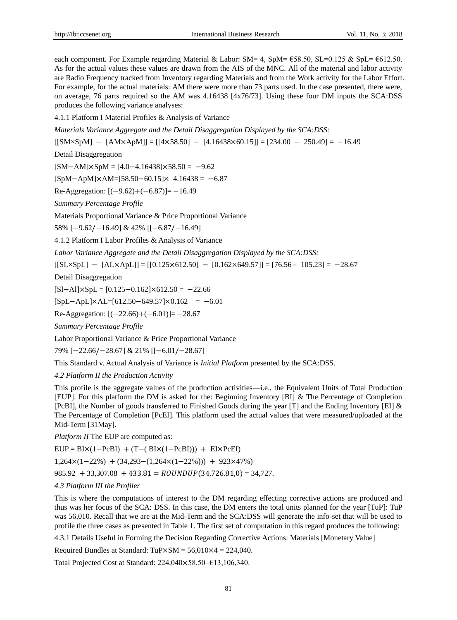each component. For Example regarding Material & Labor:  $SM=4$ ,  $SpM=658.50$ ,  $SL=0.125$  &  $SpL=6612.50$ . As for the actual values these values are drawn from the AIS of the MNC. All of the material and labor activity are Radio Frequency tracked from Inventory regarding Materials and from the Work activity for the Labor Effort. For example, for the actual materials: AM there were more than 73 parts used. In the case presented, there were, on average, 76 parts required so the AM was 4.16438 [4x76/73]. Using these four DM inputs the SCA:DSS produces the following variance analyses:

4.1.1 Platform I Material Profiles & Analysis of Variance

*Materials Variance Aggregate and the Detail Disaggregation Displayed by the SCA:DSS:* 

 $[$ [SM×SpM] – [AM×ApM]] = [ $[4 \times 58.50]$  –  $[4.16438 \times 60.15]$ ] = [234.00 – 250.49] = -16.49

Detail Disaggregation

 $[SM–AM]\times SpM = [4.0–4.16438]\times58.50 = -9.62$ 

$$
[SpM - ApM] \times AM = [58.50 - 60.15] \times 4.16438 = -6.87
$$

Re-Aggregation: [(−9.62)+(−6.87)]= −16.49

*Summary Percentage Profile*

Materials Proportional Variance & Price Proportional Variance

58% [−9.62/−16.49] & 42% [[−6.87/−16.49]

4.1.2 Platform I Labor Profiles & Analysis of Variance

*Labor Variance Aggregate and the Detail Disaggregation Displayed by the SCA:DSS:* 

 $[[SL \times SpL] - [AL \times ApL]] = [[0.125 \times 612.50] - [0.162 \times 649.57]] = [76.56 - 105.23] = -28.67$ 

Detail Disaggregation

 $[SI-AI] \times SpL = [0.125-0.162] \times 612.50 = -22.66$ 

[SpL−ApL]×AL=[612.50−649.57]×0.162 = −6.01

Re-Aggregation:  $[(-22.66) + (-6.01)] = -28.67$ 

*Summary Percentage Profile*

Labor Proportional Variance & Price Proportional Variance

79% [−22.66/−28.67] & 21% [[−6.01/−28.67]

This Standard v. Actual Analysis of Variance is *Initial Platform* presented by the SCA:DSS.

*4.2 Platform II the Production Activity* 

This profile is the aggregate values of the production activities—i.e., the Equivalent Units of Total Production [EUP]. For this platform the DM is asked for the: Beginning Inventory [BI] & The Percentage of Completion [PcBI], the Number of goods transferred to Finished Goods during the year [T] and the Ending Inventory [EI] & The Percentage of Completion [PcEI]. This platform used the actual values that were measured/uploaded at the Mid-Term [31May].

*Platform II* The EUP are computed as:

 $EUP = BIX(1-PcBI) + (T-(BIX(1-PcBI))) + EIXPcEI)$ 

 $1,264\times(1-22\%) + (34,293-(1,264\times(1-22\%))) + 923\times47\%)$ 

 $985.92 + 33,307.08 + 433.81 = \text{ROUNDUP}(34,726.81,0) = 34,727.$ 

#### *4.3 Platform III the Profiler*

This is where the computations of interest to the DM regarding effecting corrective actions are produced and thus was her focus of the SCA: DSS. In this case, the DM enters the total units planned for the year [TuP]: TuP was 56,010. Recall that we are at the Mid-Term and the SCA:DSS will generate the info-set that will be used to profile the three cases as presented in Table 1. The first set of computation in this regard produces the following:

4.3.1 Details Useful in Forming the Decision Regarding Corrective Actions: Materials [Monetary Value]

Required Bundles at Standard:  $TuP\times SM = 56,010\times4 = 224,040$ .

Total Projected Cost at Standard: 224,040×58.50=€13,106,340.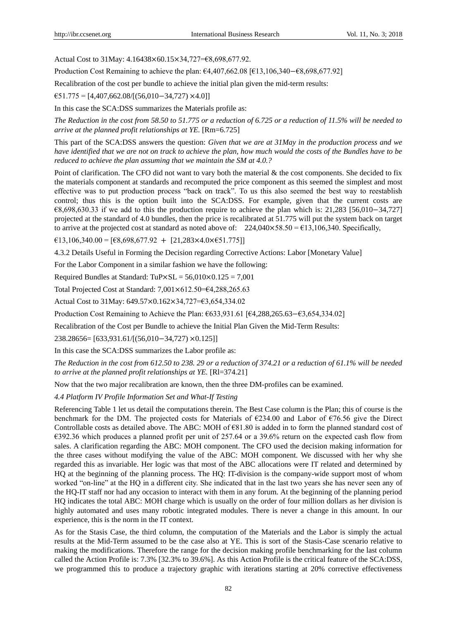Actual Cost to 31May: 4.16438×60.15×34,727=€8,698,677.92.

Production Cost Remaining to achieve the plan: €4,407,662.08 [€13,106,340−€8,698,677.92]

Recalibration of the cost per bundle to achieve the initial plan given the mid-term results:

 $€51.775 = [4,407,662.08/[(56,010-34,727) \times 4.0]]$ 

In this case the SCA:DSS summarizes the Materials profile as:

*The Reduction in the cost from 58.50 to 51.775 or a reduction of 6.725 or a reduction of 11.5% will be needed to arrive at the planned profit relationships at YE.* [Rm=6.725]

This part of the SCA:DSS answers the question: *Given that we are at 31May in the production process and we have identified that we are not on track to achieve the plan, how much would the costs of the Bundles have to be reduced to achieve the plan assuming that we maintain the SM at 4.0.?*

Point of clarification. The CFO did not want to vary both the material & the cost components. She decided to fix the materials component at standards and recomputed the price component as this seemed the simplest and most effective was to put production process "back on track". To us this also seemed the best way to reestablish control; thus this is the option built into the SCA:DSS. For example, given that the current costs are €8,698,630.33 if we add to this the production require to achieve the plan which is: 21,283 [56,010−34,727] projected at the standard of 4.0 bundles, then the price is recalibrated at 51.775 will put the system back on target to arrive at the projected cost at standard as noted above of:  $224,040 \times 58.50 = 613,106,340$ . Specifically,

 $E13,106,340.00 = [68,698,677.92 + [21,283 \times 4.0 \times 651.775]]$ 

4.3.2 Details Useful in Forming the Decision regarding Corrective Actions: Labor [Monetary Value]

For the Labor Component in a similar fashion we have the following:

Required Bundles at Standard:  $TuP \times SL = 56,010 \times 0.125 = 7,001$ 

Total Projected Cost at Standard: 7,001×612.50=€4,288,265.63

Actual Cost to 31May: 649.57×0.162×34,727=€3,654,334.02

Production Cost Remaining to Achieve the Plan: €633,931.61 [€4,288,265.63−€3,654,334.02]

Recalibration of the Cost per Bundle to achieve the Initial Plan Given the Mid-Term Results:

238.28656= [633,931.61/[(56,010−34,727) ×0.125]]

In this case the SCA:DSS summarizes the Labor profile as:

*The Reduction in the cost from 612.50 to 238. 29 or a reduction of 374.21 or a reduction of 61.1% will be needed to arrive at the planned profit relationships at YE.* [Rl=374.21]

Now that the two major recalibration are known, then the three DM-profiles can be examined.

*4.4 Platform IV Profile Information Set and What-If Testing* 

Referencing Table 1 let us detail the computations therein. The Best Case column is the Plan; this of course is the benchmark for the DM. The projected costs for Materials of  $\epsilon$ 234.00 and Labor of  $\epsilon$ 76.56 give the Direct Controllable costs as detailed above. The ABC: MOH of  $681.80$  is added in to form the planned standard cost of €392.36 which produces a planned profit per unit of 257.64 or a 39.6% return on the expected cash flow from sales. A clarification regarding the ABC: MOH component. The CFO used the decision making information for the three cases without modifying the value of the ABC: MOH component. We discussed with her why she regarded this as invariable. Her logic was that most of the ABC allocations were IT related and determined by HQ at the beginning of the planning process. The HQ: IT-division is the company-wide support most of whom worked "on-line" at the HQ in a different city. She indicated that in the last two years she has never seen any of the HQ-IT staff nor had any occasion to interact with them in any forum. At the beginning of the planning period HQ indicates the total ABC: MOH charge which is usually on the order of four million dollars as her division is highly automated and uses many robotic integrated modules. There is never a change in this amount. In our experience, this is the norm in the IT context.

As for the Stasis Case, the third column, the computation of the Materials and the Labor is simply the actual results at the Mid-Term assumed to be the case also at YE. This is sort of the Stasis-Case scenario relative to making the modifications. Therefore the range for the decision making profile benchmarking for the last column called the Action Profile is: 7.3% [32.3% to 39.6%]. As this Action Profile is the critical feature of the SCA:DSS, we programmed this to produce a trajectory graphic with iterations starting at 20% corrective effectiveness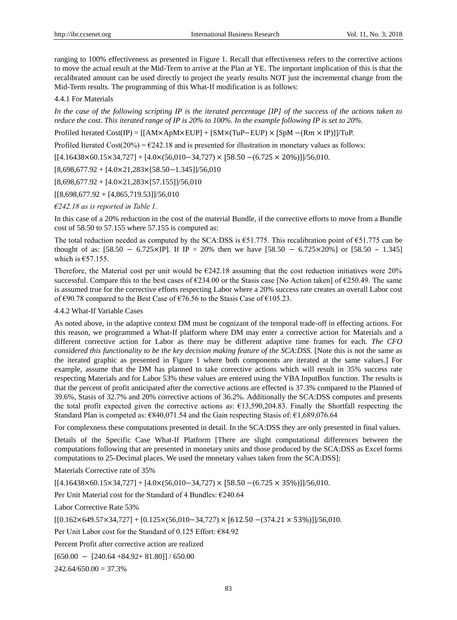ranging to 100% effectiveness as presented in Figure 1. Recall that effectiveness refers to the corrective actions to move the actual result at the Mid-Term to arrive at the Plan at YE. The important implication of this is that the recalibrated amount can be used directly to project the yearly results NOT just the incremental change from the Mid-Term results. The programming of this What-If modification is as follows:

## 4.4.1 For Materials

*In the case of the following scripting IP is the iterated percentage [IP] of the success of the actions taken to reduce the cost. This iterated range of IP is 20% to 100%. In the example following IP is set to 20%.*

Profiled Iterated Cost(IP) =  $[(AM \times ApM \times EUP] + [SM \times (TuP – EUP) \times [SpM – (Rm \times IP)]]/TuP$ .

Profiled Iterated Cost( $20\%$ ) =  $\epsilon$ 242.18 and is presented for illustration in monetary values as follows:

 $[[4.16438\times60.15\times34,727] + [4.0\times(56,010-34,727)\times[58.50-(6.725\times20\%)]/56,010$ 

[8,698,677.92 + [4.0×21,283×[58.50−1.345]]/56,010

 $[8,698,677.92 + [4.0 \times 21,283 \times [57.155]]/56,010]$ 

 $[ [ 8,698,677.92 + [ 4,865,719.53] ]/56,010$ 

*€242.18 as is reported in Table 1.*

In this case of a 20% reduction in the cost of the material Bundle, if the corrective efforts to move from a Bundle cost of 58.50 to 57.155 where 57.155 is computed as:

The total reduction needed as computed by the SCA:DSS is €51.775. This recalibration point of €51.775 can be thought of as:  $[58.50 - 6.725 \times IP]$ . If IP = 20% then we have  $[58.50 - 6.725 \times 20\%]$  or  $[58.50 - 1.345]$ which is  $€57.155$ .

Therefore, the Material cost per unit would be  $\epsilon$ 242.18 assuming that the cost reduction initiatives were 20% successful. Compare this to the best cases of  $\epsilon$ 234.00 or the Stasis case [No Action taken] of  $\epsilon$ 250.49. The same is assumed true for the corrective efforts respecting Labor where a 20% success rate creates an overall Labor cost of €90.78 compared to the Best Case of €76.56 to the Stasis Case of €105.23.

#### 4.4.2 What-If Variable Cases

As noted above, in the adaptive context DM must be cognizant of the temporal trade-off in effecting actions. For this reason, we programmed a What-If platform where DM may enter a corrective action for Materials and a different corrective action for Labor as there may be different adaptive time frames for each. *The CFO considered this functionality to be the key decision making feature of the SCA:DSS.* [Note this is not the same as the iterated graphic as presented in Figure 1 where both components are iterated at the same values.] For example, assume that the DM has planned to take corrective actions which will result in 35% success rate respecting Materials and for Labor 53% these values are entered using the VBA InputBox function. The results is that the percent of profit anticipated after the corrective actions are effected is 37.3% compared to the Planned of 39.6%, Stasis of 32.7% and 20% corrective actions of 36.2%. Additionally the SCA:DSS computes and presents the total profit expected given the corrective actions as: €13,590,204.83. Finally the Shortfall respecting the Standard Plan is competed as: €840,071.54 and the Gain respecting Stasis of: €1,689,076.64

For complexness these computations presented in detail. In the SCA:DSS they are only presented in final values.

Details of the Specific Case What-If Platform [There are slight computational differences between the computations following that are presented in monetary units and those produced by the SCA:DSS as Excel forms computations to 25-Decimal places. We used the monetary values taken from the SCA:DSS]:

Materials Corrective rate of 35%

 $[(4.16438\times60.15\times34,727] + [4.0\times(56,010-34,727)\times(58.50-(6.725\times35\%)]/56,010]$ 

Per Unit Material cost for the Standard of 4 Bundles: €240.64

Labor Corrective Rate 53%

 $[(0.162\times649.57\times34.727] + [0.125\times(56,010-34,727)\times[612.50-(374.21\times53\%)]]/56,010]$ 

Per Unit Labor cost for the Standard of 0.125 Effort: €84.92

Percent Profit after corrective action are realized

 $[650.00 - [240.64 + 84.92 + 81.80]] / 650.00$ 

 $242.64/650.00 = 37.3%$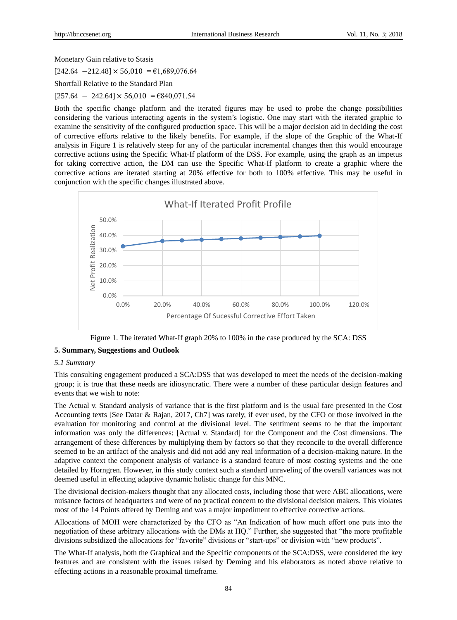Monetary Gain relative to Stasis

 $[242.64 -212.48] \times 56,010 = \text{\textsterling}1,689,076.64$ 

Shortfall Relative to the Standard Plan

 $[257.64 - 242.64] \times 56.010 = \text{\textsterling}840.071.54$ 

Both the specific change platform and the iterated figures may be used to probe the change possibilities considering the various interacting agents in the system's logistic. One may start with the iterated graphic to examine the sensitivity of the configured production space. This will be a major decision aid in deciding the cost of corrective efforts relative to the likely benefits. For example, if the slope of the Graphic of the What-If analysis in Figure 1 is relatively steep for any of the particular incremental changes then this would encourage corrective actions using the Specific What-If platform of the DSS. For example, using the graph as an impetus for taking corrective action, the DM can use the Specific What-If platform to create a graphic where the corrective actions are iterated starting at 20% effective for both to 100% effective. This may be useful in conjunction with the specific changes illustrated above.



Figure 1. The iterated What-If graph 20% to 100% in the case produced by the SCA: DSS

# **5. Summary, Suggestions and Outlook**

## *5.1 Summary*

This consulting engagement produced a SCA:DSS that was developed to meet the needs of the decision-making group; it is true that these needs are idiosyncratic. There were a number of these particular design features and events that we wish to note:

The Actual v. Standard analysis of variance that is the first platform and is the usual fare presented in the Cost Accounting texts [See Datar & Rajan, 2017, Ch7] was rarely, if ever used, by the CFO or those involved in the evaluation for monitoring and control at the divisional level. The sentiment seems to be that the important information was only the differences: [Actual v. Standard] for the Component and the Cost dimensions. The arrangement of these differences by multiplying them by factors so that they reconcile to the overall difference seemed to be an artifact of the analysis and did not add any real information of a decision-making nature. In the adaptive context the component analysis of variance is a standard feature of most costing systems and the one detailed by Horngren. However, in this study context such a standard unraveling of the overall variances was not deemed useful in effecting adaptive dynamic holistic change for this MNC.

The divisional decision-makers thought that any allocated costs, including those that were ABC allocations, were nuisance factors of headquarters and were of no practical concern to the divisional decision makers. This violates most of the 14 Points offered by Deming and was a major impediment to effective corrective actions.

Allocations of MOH were characterized by the CFO as "An Indication of how much effort one puts into the negotiation of these arbitrary allocations with the DMs at HO." Further, she suggested that "the more profitable divisions subsidized the allocations for "favorite" divisions or "start-ups" or division with "new products".

The What-If analysis, both the Graphical and the Specific components of the SCA:DSS, were considered the key features and are consistent with the issues raised by Deming and his elaborators as noted above relative to effecting actions in a reasonable proximal timeframe.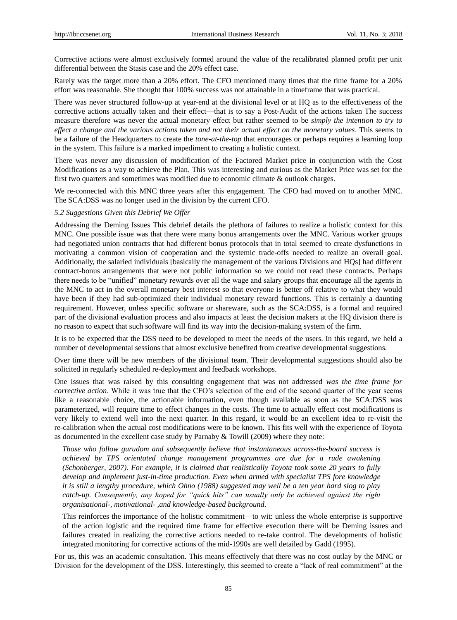Corrective actions were almost exclusively formed around the value of the recalibrated planned profit per unit differential between the Stasis case and the 20% effect case.

Rarely was the target more than a 20% effort. The CFO mentioned many times that the time frame for a 20% effort was reasonable. She thought that 100% success was not attainable in a timeframe that was practical.

There was never structured follow-up at year-end at the divisional level or at HQ as to the effectiveness of the corrective actions actually taken and their effect—that is to say a Post-Audit of the actions taken The success measure therefore was never the actual monetary effect but rather seemed to be *simply the intention to try to effect a change and the various actions taken and not their actual effect on the monetary values*. This seems to be a failure of the Headquarters to create the *tone-at-the-top* that encourages or perhaps requires a learning loop in the system. This failure is a marked impediment to creating a holistic context.

There was never any discussion of modification of the Factored Market price in conjunction with the Cost Modifications as a way to achieve the Plan. This was interesting and curious as the Market Price was set for the first two quarters and sometimes was modified due to economic climate & outlook charges.

We re-connected with this MNC three years after this engagement. The CFO had moved on to another MNC. The SCA:DSS was no longer used in the division by the current CFO.

#### *5.2 Suggestions Given this Debrief We Offer*

Addressing the Deming Issues This debrief details the plethora of failures to realize a holistic context for this MNC. One possible issue was that there were many bonus arrangements over the MNC. Various worker groups had negotiated union contracts that had different bonus protocols that in total seemed to create dysfunctions in motivating a common vision of cooperation and the systemic trade-offs needed to realize an overall goal. Additionally, the salaried individuals [basically the management of the various Divisions and HQs] had different contract-bonus arrangements that were not public information so we could not read these contracts. Perhaps there needs to be "unified" monetary rewards over all the wage and salary groups that encourage all the agents in the MNC to act in the overall monetary best interest so that everyone is better off relative to what they would have been if they had sub-optimized their individual monetary reward functions. This is certainly a daunting requirement. However, unless specific software or shareware, such as the SCA:DSS, is a formal and required part of the divisional evaluation process and also impacts at least the decision makers at the HQ division there is no reason to expect that such software will find its way into the decision-making system of the firm.

It is to be expected that the DSS need to be developed to meet the needs of the users. In this regard, we held a number of developmental sessions that almost exclusive benefited from creative developmental suggestions.

Over time there will be new members of the divisional team. Their developmental suggestions should also be solicited in regularly scheduled re-deployment and feedback workshops.

One issues that was raised by this consulting engagement that was not addressed *was the time frame for corrective action*. While it was true that the CFO's selection of the end of the second quarter of the year seems like a reasonable choice, the actionable information, even though available as soon as the SCA:DSS was parameterized, will require time to effect changes in the costs. The time to actually effect cost modifications is very likely to extend well into the next quarter. In this regard, it would be an excellent idea to re-visit the re-calibration when the actual cost modifications were to be known. This fits well with the experience of Toyota as documented in the excellent case study by Parnaby & Towill (2009) where they note:

*Those who follow gurudom and subsequently believe that instantaneous across-the-board success is achieved by TPS orientated change management programmes are due for a rude awakening (Schonberger, 2007). For example, it is claimed that realistically Toyota took some 20 years to fully develop and implement just-in-time production. Even when armed with specialist TPS fore knowledge it is still a lengthy procedure, which Ohno (1988) suggested may well be a ten year hard slog to play catch-up. Consequently, any hoped for "quick hits" can usually only be achieved against the right organisational-, motivational- ,and knowledge-based background.*

This reinforces the importance of the holistic commitment—to wit: unless the whole enterprise is supportive of the action logistic and the required time frame for effective execution there will be Deming issues and failures created in realizing the corrective actions needed to re-take control. The developments of holistic integrated monitoring for corrective actions of the mid-1990s are well detailed by Gadd (1995).

For us, this was an academic consultation. This means effectively that there was no cost outlay by the MNC or Division for the development of the DSS. Interestingly, this seemed to create a "lack of real commitment" at the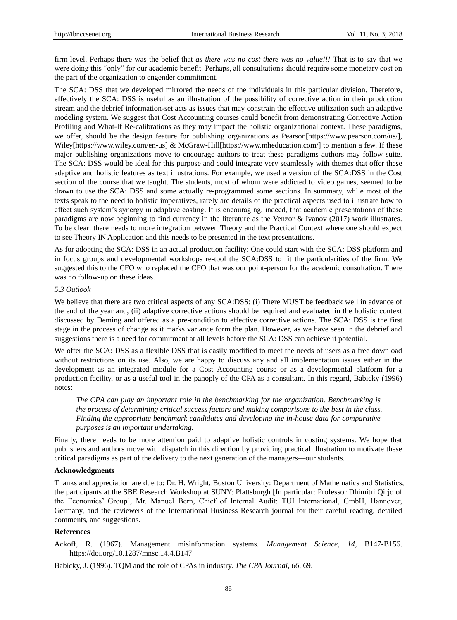firm level. Perhaps there was the belief that *as there was no cost there was no value!!!* That is to say that we were doing this "only" for our academic benefit. Perhaps, all consultations should require some monetary cost on the part of the organization to engender commitment.

The SCA: DSS that we developed mirrored the needs of the individuals in this particular division. Therefore, effectively the SCA: DSS is useful as an illustration of the possibility of corrective action in their production stream and the debrief information-set acts as issues that may constrain the effective utilization such an adaptive modeling system. We suggest that Cost Accounting courses could benefit from demonstrating Corrective Action Profiling and What-If Re-calibrations as they may impact the holistic organizational context. These paradigms, we offer, should be the design feature for publishing organizations as Pearson[https://www.pearson.com/us/], Wiley[https://www.wiley.com/en-us] & McGraw-Hill[https://www.mheducation.com/] to mention a few. If these major publishing organizations move to encourage authors to treat these paradigms authors may follow suite. The SCA: DSS would be ideal for this purpose and could integrate very seamlessly with themes that offer these adaptive and holistic features as text illustrations. For example, we used a version of the SCA:DSS in the Cost section of the course that we taught. The students, most of whom were addicted to video games, seemed to be drawn to use the SCA: DSS and some actually re-programmed some sections. In summary, while most of the texts speak to the need to holistic imperatives, rarely are details of the practical aspects used to illustrate how to effect such system's synergy in adaptive costing. It is encouraging, indeed, that academic presentations of these paradigms are now beginning to find currency in the literature as the Venzor & Ivanov (2017) work illustrates. To be clear: there needs to more integration between Theory and the Practical Context where one should expect to see Theory IN Application and this needs to be presented in the text presentations.

As for adopting the SCA: DSS in an actual production facility: One could start with the SCA: DSS platform and in focus groups and developmental workshops re-tool the SCA:DSS to fit the particularities of the firm. We suggested this to the CFO who replaced the CFO that was our point-person for the academic consultation. There was no follow-up on these ideas.

## *5.3 Outlook*

We believe that there are two critical aspects of any SCA:DSS: (i) There MUST be feedback well in advance of the end of the year and, (ii) adaptive corrective actions should be required and evaluated in the holistic context discussed by Deming and offered as a pre-condition to effective corrective actions. The SCA: DSS is the first stage in the process of change as it marks variance form the plan. However, as we have seen in the debrief and suggestions there is a need for commitment at all levels before the SCA: DSS can achieve it potential.

We offer the SCA: DSS as a flexible DSS that is easily modified to meet the needs of users as a free download without restrictions on its use. Also, we are happy to discuss any and all implementation issues either in the development as an integrated module for a Cost Accounting course or as a developmental platform for a production facility, or as a useful tool in the panoply of the CPA as a consultant. In this regard, Babicky (1996) notes:

*The CPA can play an important role in the benchmarking for the organization. Benchmarking is the process of determining critical success factors and making comparisons to the best in the class. Finding the appropriate benchmark candidates and developing the in-house data for comparative purposes is an important undertaking.* 

Finally, there needs to be more attention paid to adaptive holistic controls in costing systems. We hope that publishers and authors move with dispatch in this direction by providing practical illustration to motivate these critical paradigms as part of the delivery to the next generation of the managers—our students.

# **Acknowledgments**

Thanks and appreciation are due to: Dr. H. Wright, Boston University: Department of Mathematics and Statistics, the participants at the SBE Research Workshop at SUNY: Plattsburgh [In particular: Professor Dhimitri Qirjo of the Economics' Group], Mr. Manuel Bern, Chief of Internal Audit: TUI International, GmbH, Hannover, Germany, and the reviewers of the International Business Research journal for their careful reading, detailed comments, and suggestions.

# **References**

Ackoff, R. (1967). Management misinformation systems. *Management Science*, *14*, B147-B156. https://doi.org/10.1287/mnsc.14.4.B147

Babicky, J. (1996). TQM and the role of CPAs in industry. *The CPA Journal*, *66*, 69.